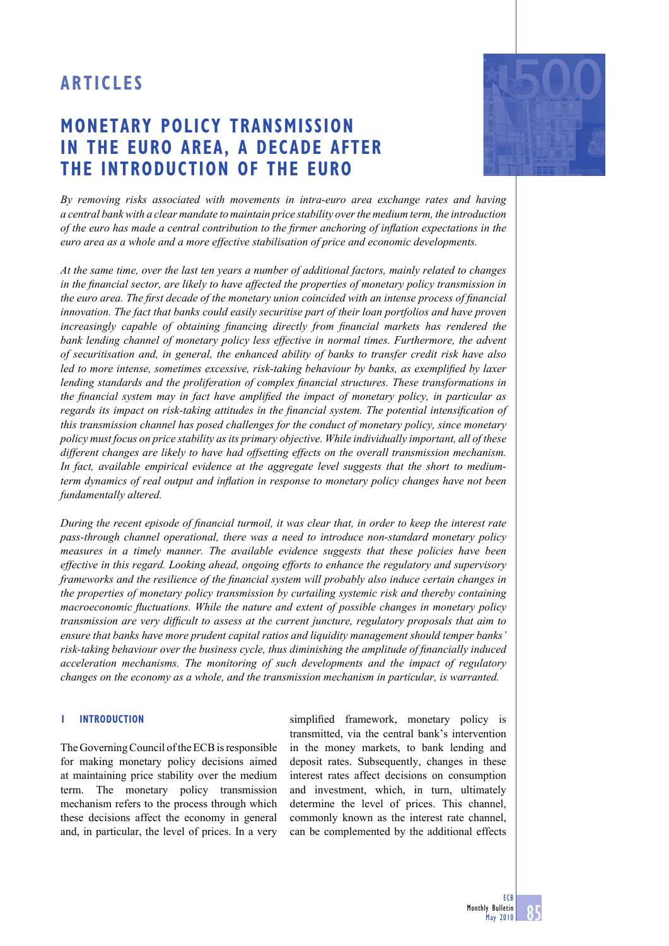# **MONETARY POLICY TRANSMISSION IN THE EURO AREA, A DECADE AFTER THE INTRODUCTION OF THE EURO**



*By removing risks associated with movements in intra-euro area exchange rates and having a central bank with a clear mandate to maintain price stability over the medium term, the introduction of the euro has made a central contribution to the firmer anchoring of inflation expectations in the euro area as a whole and a more effective stabilisation of price and economic developments.* 

*At the same time, over the last ten years a number of additional factors, mainly related to changes in the financial sector, are likely to have affected the properties of monetary policy transmission in the euro area. The first decade of the monetary union coincided with an intense process of financial innovation. The fact that banks could easily securitise part of their loan portfolios and have proven increasingly capable of obtaining financing directly from financial markets has rendered the bank lending channel of monetary policy less effective in normal times. Furthermore, the advent of securitisation and, in general, the enhanced ability of banks to transfer credit risk have also led to more intense, sometimes excessive, risk-taking behaviour by banks, as exemplified by laxer lending standards and the proliferation of complex financial structures. These transformations in the financial system may in fact have amplified the impact of monetary policy, in particular as regards its impact on risk-taking attitudes in the financial system. The potential intensification of this transmission channel has posed challenges for the conduct of monetary policy, since monetary policy must focus on price stability as its primary objective. While individually important, all of these different changes are likely to have had offsetting effects on the overall transmission mechanism. In fact, available empirical evidence at the aggregate level suggests that the short to mediumterm dynamics of real output and inflation in response to monetary policy changes have not been fundamentally altered.*

*During the recent episode of financial turmoil, it was clear that, in order to keep the interest rate pass-through channel operational, there was a need to introduce non-standard monetary policy measures in a timely manner. The available evidence suggests that these policies have been effective in this regard. Looking ahead, ongoing efforts to enhance the regulatory and supervisory frameworks and the resilience of the financial system will probably also induce certain changes in the properties of monetary policy transmission by curtailing systemic risk and thereby containing macroeconomic fluctuations. While the nature and extent of possible changes in monetary policy transmission are very difficult to assess at the current juncture, regulatory proposals that aim to ensure that banks have more prudent capital ratios and liquidity management should temper banks'*  risk-taking behaviour over the business cycle, thus diminishing the amplitude of financially induced *acceleration mechanisms. The monitoring of such developments and the impact of regulatory changes on the economy as a whole, and the transmission mechanism in particular, is warranted.* 

## **1 INTRODUCTION**

The Governing Council of the ECB is responsible for making monetary policy decisions aimed at maintaining price stability over the medium term. The monetary policy transmission mechanism refers to the process through which these decisions affect the economy in general and, in particular, the level of prices. In a very

simplified framework, monetary policy is transmitted, via the central bank's intervention in the money markets, to bank lending and deposit rates. Subsequently, changes in these interest rates affect decisions on consumption and investment, which, in turn, ultimately determine the level of prices. This channel, commonly known as the interest rate channel, can be complemented by the additional effects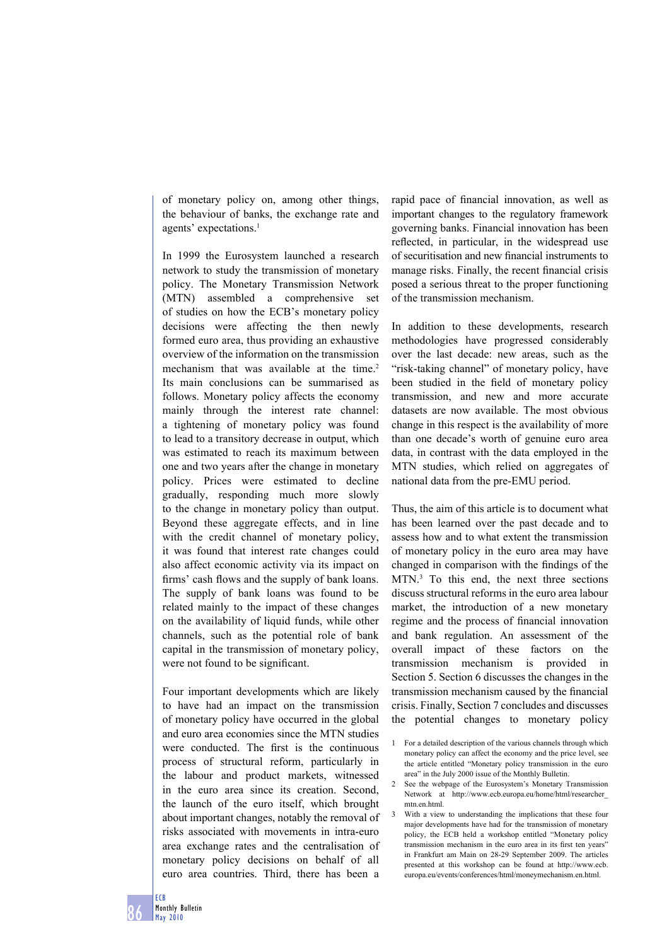of monetary policy on, among other things, the behaviour of banks, the exchange rate and agents' expectations.<sup>1</sup>

In 1999 the Eurosystem launched a research network to study the transmission of monetary policy. The Monetary Transmission Network (MTN) assembled a comprehensive set of studies on how the ECB's monetary policy decisions were affecting the then newly formed euro area, thus providing an exhaustive overview of the information on the transmission mechanism that was available at the time.<sup>2</sup> Its main conclusions can be summarised as follows. Monetary policy affects the economy mainly through the interest rate channel: a tightening of monetary policy was found to lead to a transitory decrease in output, which was estimated to reach its maximum between one and two years after the change in monetary policy. Prices were estimated to decline gradually, responding much more slowly to the change in monetary policy than output. Beyond these aggregate effects, and in line with the credit channel of monetary policy, it was found that interest rate changes could also affect economic activity via its impact on firms' cash flows and the supply of bank loans. The supply of bank loans was found to be related mainly to the impact of these changes on the availability of liquid funds, while other channels, such as the potential role of bank capital in the transmission of monetary policy, were not found to be significant.

Four important developments which are likely to have had an impact on the transmission of monetary policy have occurred in the global and euro area economies since the MTN studies were conducted. The first is the continuous process of structural reform, particularly in the labour and product markets, witnessed in the euro area since its creation. Second, the launch of the euro itself, which brought about important changes, notably the removal of risks associated with movements in intra-euro area exchange rates and the centralisation of monetary policy decisions on behalf of all euro area countries. Third, there has been a

rapid pace of financial innovation, as well as important changes to the regulatory framework governing banks. Financial innovation has been reflected, in particular, in the widespread use of securitisation and new financial instruments to manage risks. Finally, the recent financial crisis posed a serious threat to the proper functioning of the transmission mechanism.

In addition to these developments, research methodologies have progressed considerably over the last decade: new areas, such as the "risk-taking channel" of monetary policy, have been studied in the field of monetary policy transmission, and new and more accurate datasets are now available. The most obvious change in this respect is the availability of more than one decade's worth of genuine euro area data, in contrast with the data employed in the MTN studies, which relied on aggregates of national data from the pre-EMU period.

Thus, the aim of this article is to document what has been learned over the past decade and to assess how and to what extent the transmission of monetary policy in the euro area may have changed in comparison with the findings of the MTN.3 To this end, the next three sections discuss structural reforms in the euro area labour market, the introduction of a new monetary regime and the process of financial innovation and bank regulation. An assessment of the overall impact of these factors on the transmission mechanism is provided in Section 5. Section 6 discusses the changes in the transmission mechanism caused by the financial crisis. Finally, Section 7 concludes and discusses the potential changes to monetary policy

<sup>1</sup> For a detailed description of the various channels through which monetary policy can affect the economy and the price level, see the article entitled "Monetary policy transmission in the euro area" in the July 2000 issue of the Monthly Bulletin.

<sup>2</sup> See the webpage of the Eurosystem's Monetary Transmission Network at http://www.ecb.europa.eu/home/html/researcher\_ mtn.en.html.

<sup>3</sup> With a view to understanding the implications that these four major developments have had for the transmission of monetary policy, the ECB held a workshop entitled "Monetary policy transmission mechanism in the euro area in its first ten years' in Frankfurt am Main on 28-29 September 2009. The articles presented at this workshop can be found at http://www.ecb. europa.eu/events/conferences/html/moneymechanism.en.html.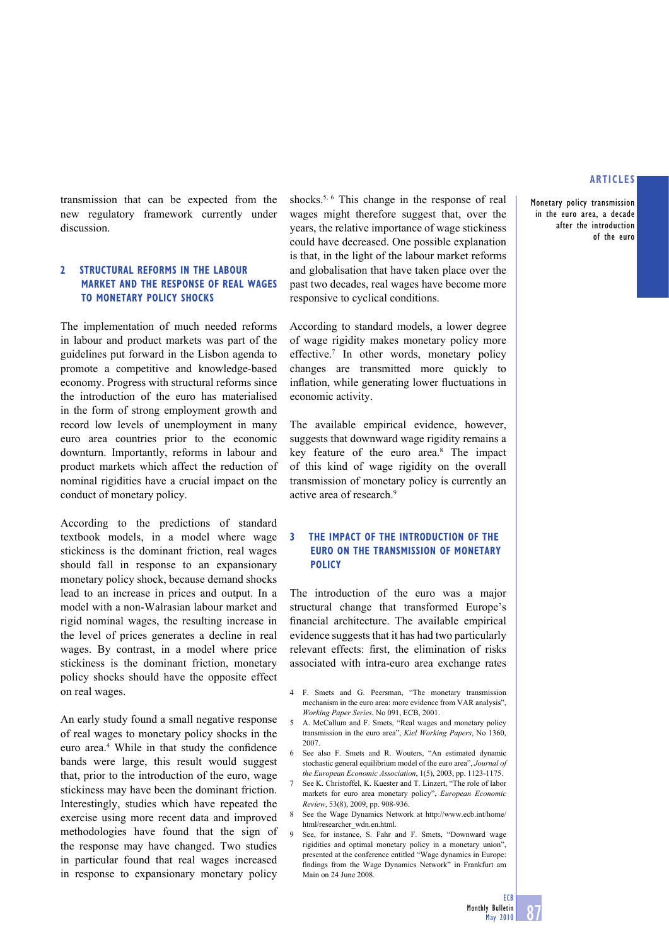**Monetary policy transmission in the euro area, a decade after the introduction of the euro**

transmission that can be expected from the new regulatory framework currently under discussion.

# **2 STRUCTURAL REFORMS IN THE LABOUR MARKET AND THE RESPONSE OF REAL WAGES TO MONETARY POLICY SHOCKS**

The implementation of much needed reforms in labour and product markets was part of the guidelines put forward in the Lisbon agenda to promote a competitive and knowledge-based economy. Progress with structural reforms since the introduction of the euro has materialised in the form of strong employment growth and record low levels of unemployment in many euro area countries prior to the economic downturn. Importantly, reforms in labour and product markets which affect the reduction of nominal rigidities have a crucial impact on the conduct of monetary policy.

According to the predictions of standard textbook models, in a model where wage stickiness is the dominant friction, real wages should fall in response to an expansionary monetary policy shock, because demand shocks lead to an increase in prices and output. In a model with a non-Walrasian labour market and rigid nominal wages, the resulting increase in the level of prices generates a decline in real wages. By contrast, in a model where price stickiness is the dominant friction, monetary policy shocks should have the opposite effect on real wages.

An early study found a small negative response of real wages to monetary policy shocks in the euro area.<sup>4</sup> While in that study the confidence bands were large, this result would suggest that, prior to the introduction of the euro, wage stickiness may have been the dominant friction. Interestingly, studies which have repeated the exercise using more recent data and improved methodologies have found that the sign of the response may have changed. Two studies in particular found that real wages increased in response to expansionary monetary policy

shocks.<sup>5, 6</sup> This change in the response of real wages might therefore suggest that, over the years, the relative importance of wage stickiness could have decreased. One possible explanation is that, in the light of the labour market reforms and globalisation that have taken place over the past two decades, real wages have become more responsive to cyclical conditions.

According to standard models, a lower degree of wage rigidity makes monetary policy more effective.7 In other words, monetary policy changes are transmitted more quickly to inflation, while generating lower fluctuations in economic activity.

The available empirical evidence, however, suggests that downward wage rigidity remains a key feature of the euro area.8 The impact of this kind of wage rigidity on the overall transmission of monetary policy is currently an active area of research.<sup>9</sup>

# **3 THE IMPACT OF THE INTRODUCTION OF THE EURO ON THE TRANSMISSION OF MONETARY POLICY**

The introduction of the euro was a major structural change that transformed Europe's financial architecture. The available empirical evidence suggests that it has had two particularly relevant effects: first, the elimination of risks associated with intra-euro area exchange rates

- 4 F. Smets and G. Peersman, "The monetary transmission mechanism in the euro area: more evidence from VAR analysis", *Working Paper Series*, No 091, ECB, 2001.
- 5 A. McCallum and F. Smets, "Real wages and monetary policy transmission in the euro area", *Kiel Working Papers*, No 1360, 2007.
- See also F. Smets and R. Wouters, "An estimated dynamic stochastic general equilibrium model of the euro area", *Journal of the European Economic Association*, 1(5), 2003, pp. 1123-1175.
- 7 See K. Christoffel, K. Kuester and T. Linzert, "The role of labor markets for euro area monetary policy", *European Economic Review*, 53(8), 2009, pp. 908-936.
- 8 See the Wage Dynamics Network at http://www.ecb.int/home/ html/researcher\_wdn.en.html.
- 9 See, for instance, S. Fahr and F. Smets, "Downward wage rigidities and optimal monetary policy in a monetary union", presented at the conference entitled "Wage dynamics in Europe: findings from the Wage Dynamics Network" in Frankfurt am Main on 24 June 2008.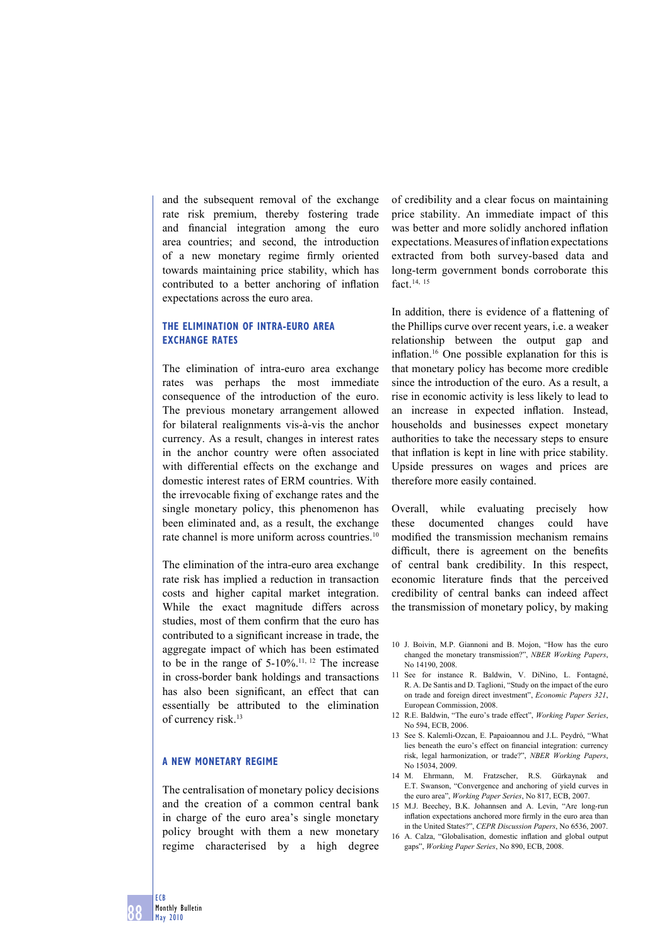and the subsequent removal of the exchange rate risk premium, thereby fostering trade and financial integration among the euro area countries; and second, the introduction of a new monetary regime firmly oriented towards maintaining price stability, which has contributed to a better anchoring of inflation expectations across the euro area.

# **THE ELIMINATION OF INTRA-EURO AREA EXCHANGE RATES**

The elimination of intra-euro area exchange rates was perhaps the most immediate consequence of the introduction of the euro. The previous monetary arrangement allowed for bilateral realignments vis-à-vis the anchor currency. As a result, changes in interest rates in the anchor country were often associated with differential effects on the exchange and domestic interest rates of ERM countries. With the irrevocable fixing of exchange rates and the single monetary policy, this phenomenon has been eliminated and, as a result, the exchange rate channel is more uniform across countries.<sup>10</sup>

The elimination of the intra-euro area exchange rate risk has implied a reduction in transaction costs and higher capital market integration. While the exact magnitude differs across studies, most of them confirm that the euro has contributed to a significant increase in trade, the aggregate impact of which has been estimated to be in the range of  $5-10\%$ .<sup>11, 12</sup> The increase in cross-border bank holdings and transactions has also been significant, an effect that can essentially be attributed to the elimination of currency risk.<sup>13</sup>

# **A NEW MONETARY REGIME**

The centralisation of monetary policy decisions and the creation of a common central bank in charge of the euro area's single monetary policy brought with them a new monetary regime characterised by a high degree of credibility and a clear focus on maintaining price stability. An immediate impact of this was better and more solidly anchored inflation expectations. Measures of inflation expectations extracted from both survey-based data and long-term government bonds corroborate this fact.14, <sup>15</sup>

In addition, there is evidence of a flattening of the Phillips curve over recent years, i.e. a weaker relationship between the output gap and inflation.<sup>16</sup> One possible explanation for this is that monetary policy has become more credible since the introduction of the euro. As a result, a rise in economic activity is less likely to lead to an increase in expected inflation. Instead, households and businesses expect monetary authorities to take the necessary steps to ensure that inflation is kept in line with price stability. Upside pressures on wages and prices are therefore more easily contained.

Overall, while evaluating precisely how these documented changes could have modified the transmission mechanism remains difficult, there is agreement on the benefits of central bank credibility. In this respect, economic literature finds that the perceived credibility of central banks can indeed affect the transmission of monetary policy, by making

- 10 J. Boivin, M.P. Giannoni and B. Mojon, "How has the euro changed the monetary transmission?", *NBER Working Papers*, No 14190, 2008.
- 11 See for instance R. Baldwin, V. DiNino, L. Fontagné, R. A. De Santis and D. Taglioni, "Study on the impact of the euro on trade and foreign direct investment", *Economic Papers 321*, European Commission, 2008.
- 12 R.E. Baldwin, "The euro's trade effect", *Working Paper Series*, No 594, ECB, 2006.
- 13 See S. Kalemli-Ozcan, E. Papaioannou and J.L. Peydró, "What lies beneath the euro's effect on financial integration: currency risk, legal harmonization, or trade?", *NBER Working Papers*, No 15034, 2009.
- 14 M. Ehrmann, M. Fratzscher, R.S. Gürkaynak and E.T. Swanson, "Convergence and anchoring of yield curves in the euro area", *Working Paper Series*, No 817, ECB, 2007.
- 15 M.J. Beechey, B.K. Johannsen and A. Levin, "Are long-run inflation expectations anchored more firmly in the euro area than in the United States?", *CEPR Discussion Papers*, No 6536, 2007.
- 16 A. Calza, "Globalisation, domestic inflation and global output gaps", *Working Paper Series*, No 890, ECB, 2008.

**ECB**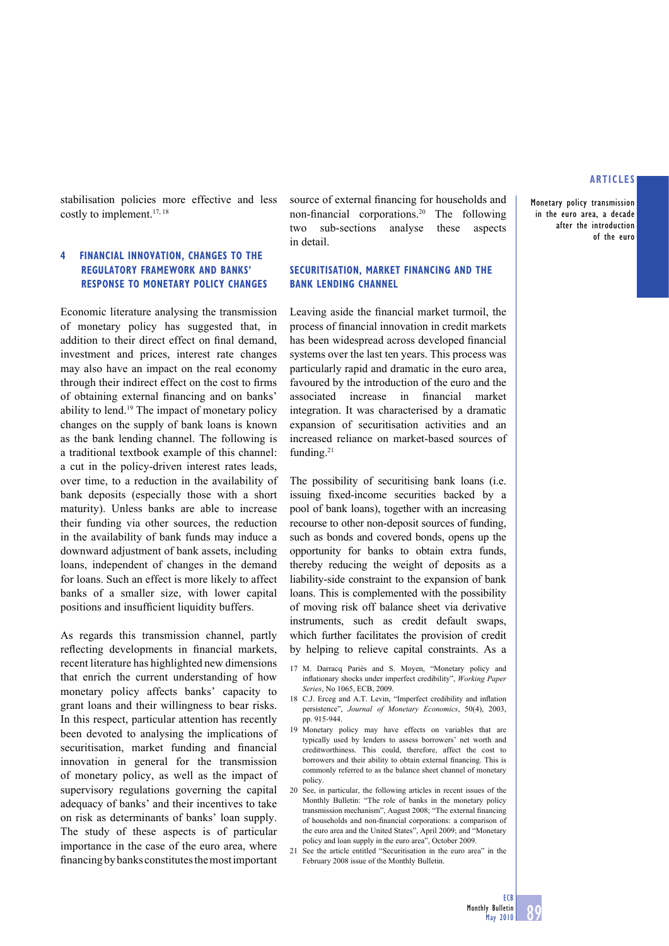**Monetary policy transmission in the euro area, a decade after the introduction of the euro**

stabilisation policies more effective and less costly to implement.<sup>17, 18</sup>

# **4 FINANCIAL INNOVATION, CHANGES TO THE REGULATORY FRAMEWORK AND BANKS' RESPONSE TO MONETARY POLICY CHANGES**

Economic literature analysing the transmission of monetary policy has suggested that, in addition to their direct effect on final demand. investment and prices, interest rate changes may also have an impact on the real economy through their indirect effect on the cost to firms of obtaining external financing and on banks' ability to lend.19 The impact of monetary policy changes on the supply of bank loans is known as the bank lending channel. The following is a traditional textbook example of this channel: a cut in the policy-driven interest rates leads, over time, to a reduction in the availability of bank deposits (especially those with a short maturity). Unless banks are able to increase their funding via other sources, the reduction in the availability of bank funds may induce a downward adjustment of bank assets, including loans, independent of changes in the demand for loans. Such an effect is more likely to affect banks of a smaller size, with lower capital positions and insufficient liquidity buffers.

As regards this transmission channel, partly reflecting developments in financial markets, recent literature has highlighted new dimensions that enrich the current understanding of how monetary policy affects banks' capacity to grant loans and their willingness to bear risks. In this respect, particular attention has recently been devoted to analysing the implications of securitisation, market funding and financial innovation in general for the transmission of monetary policy, as well as the impact of supervisory regulations governing the capital adequacy of banks' and their incentives to take on risk as determinants of banks' loan supply. The study of these aspects is of particular importance in the case of the euro area, where financing by banks constitutes the most important

source of external financing for households and non-financial corporations.<sup>20</sup> The following two sub-sections analyse these aspects in detail.

# **SECURITISATION, MARKET FINANCING AND THE BANK LENDING CHANNEL**

Leaving aside the financial market turmoil, the process of financial innovation in credit markets has been widespread across developed financial systems over the last ten years. This process was particularly rapid and dramatic in the euro area, favoured by the introduction of the euro and the associated increase in financial market integration. It was characterised by a dramatic expansion of securitisation activities and an increased reliance on market-based sources of funding.<sup>21</sup>

The possibility of securitising bank loans (i.e. issuing fixed-income securities backed by a pool of bank loans), together with an increasing recourse to other non-deposit sources of funding, such as bonds and covered bonds, opens up the opportunity for banks to obtain extra funds, thereby reducing the weight of deposits as a liability-side constraint to the expansion of bank loans. This is complemented with the possibility of moving risk off balance sheet via derivative instruments, such as credit default swaps, which further facilitates the provision of credit by helping to relieve capital constraints. As a

- 17 M. Darracq Pariès and S. Moyen, "Monetary policy and infl ationary shocks under imperfect credibility", *Working Paper Series*, No 1065, ECB, 2009.
- 18 C.J. Erceg and A.T. Levin, "Imperfect credibility and inflation persistence", *Journal of Monetary Economics*, 50(4), 2003, pp. 915-944.
- 19 Monetary policy may have effects on variables that are typically used by lenders to assess borrowers' net worth and creditworthiness. This could, therefore, affect the cost to borrowers and their ability to obtain external financing. This is commonly referred to as the balance sheet channel of monetary policy.
- 20 See, in particular, the following articles in recent issues of the Monthly Bulletin: "The role of banks in the monetary policy transmission mechanism", August 2008; "The external financing of households and non-financial corporations: a comparison of the euro area and the United States", April 2009; and "Monetary policy and loan supply in the euro area", October 2009.
- 21 See the article entitled "Securitisation in the euro area" in the February 2008 issue of the Monthly Bulletin.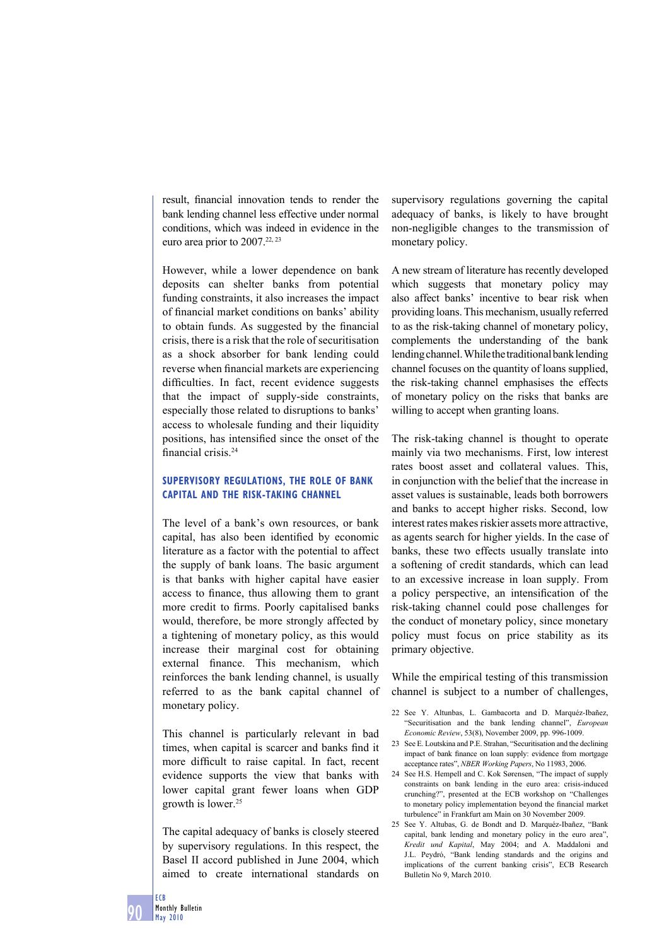result, financial innovation tends to render the bank lending channel less effective under normal conditions, which was indeed in evidence in the euro area prior to 2007.<sup>22, 23</sup>

However, while a lower dependence on bank deposits can shelter banks from potential funding constraints, it also increases the impact of financial market conditions on banks' ability to obtain funds. As suggested by the financial crisis, there is a risk that the role of securitisation as a shock absorber for bank lending could reverse when financial markets are experiencing difficulties. In fact, recent evidence suggests that the impact of supply-side constraints, especially those related to disruptions to banks' access to wholesale funding and their liquidity positions, has intensified since the onset of the financial crisis.<sup>24</sup>

# **SUPERVISORY REGULATIONS, THE ROLE OF BANK CAPITAL AND THE RISK-TAKING CHANNEL**

The level of a bank's own resources, or bank capital, has also been identified by economic literature as a factor with the potential to affect the supply of bank loans. The basic argument is that banks with higher capital have easier access to finance, thus allowing them to grant more credit to firms. Poorly capitalised banks would, therefore, be more strongly affected by a tightening of monetary policy, as this would increase their marginal cost for obtaining external finance. This mechanism, which reinforces the bank lending channel, is usually referred to as the bank capital channel of monetary policy.

This channel is particularly relevant in bad times, when capital is scarcer and banks find it more difficult to raise capital. In fact, recent evidence supports the view that banks with lower capital grant fewer loans when GDP growth is lower.<sup>25</sup>

The capital adequacy of banks is closely steered by supervisory regulations. In this respect, the Basel II accord published in June 2004, which aimed to create international standards on

supervisory regulations governing the capital adequacy of banks, is likely to have brought non-negligible changes to the transmission of monetary policy.

A new stream of literature has recently developed which suggests that monetary policy may also affect banks' incentive to bear risk when providing loans. This mechanism, usually referred to as the risk-taking channel of monetary policy, complements the understanding of the bank lending channel. While the traditional bank lending channel focuses on the quantity of loans supplied, the risk-taking channel emphasises the effects of monetary policy on the risks that banks are willing to accept when granting loans.

The risk-taking channel is thought to operate mainly via two mechanisms. First, low interest rates boost asset and collateral values. This, in conjunction with the belief that the increase in asset values is sustainable, leads both borrowers and banks to accept higher risks. Second, low interest rates makes riskier assets more attractive, as agents search for higher yields. In the case of banks, these two effects usually translate into a softening of credit standards, which can lead to an excessive increase in loan supply. From a policy perspective, an intensification of the risk-taking channel could pose challenges for the conduct of monetary policy, since monetary policy must focus on price stability as its primary objective.

While the empirical testing of this transmission channel is subject to a number of challenges,

- 22 See Y. Altunbas, L. Gambacorta and D. Marquéz-Ibañez, "Securitisation and the bank lending channel", *European Economic Review*, 53(8), November 2009, pp. 996-1009.
- 23 See E. Loutskina and P.E. Strahan, "Securitisation and the declining impact of bank finance on loan supply: evidence from mortgage acceptance rates", *NBER Working Papers*, No 11983, 2006.
- 24 See H.S. Hempell and C. Kok Sørensen, "The impact of supply constraints on bank lending in the euro area: crisis-induced crunching?", presented at the ECB workshop on "Challenges to monetary policy implementation beyond the financial market turbulence" in Frankfurt am Main on 30 November 2009.
- 25 See Y. Altubas, G. de Bondt and D. Marquéz-Ibañez, "Bank capital, bank lending and monetary policy in the euro area", *Kredit und Kapital*, May 2004; and A. Maddaloni and J.L. Peydró, "Bank lending standards and the origins and implications of the current banking crisis", ECB Research Bulletin No 9, March 2010.

**ECB**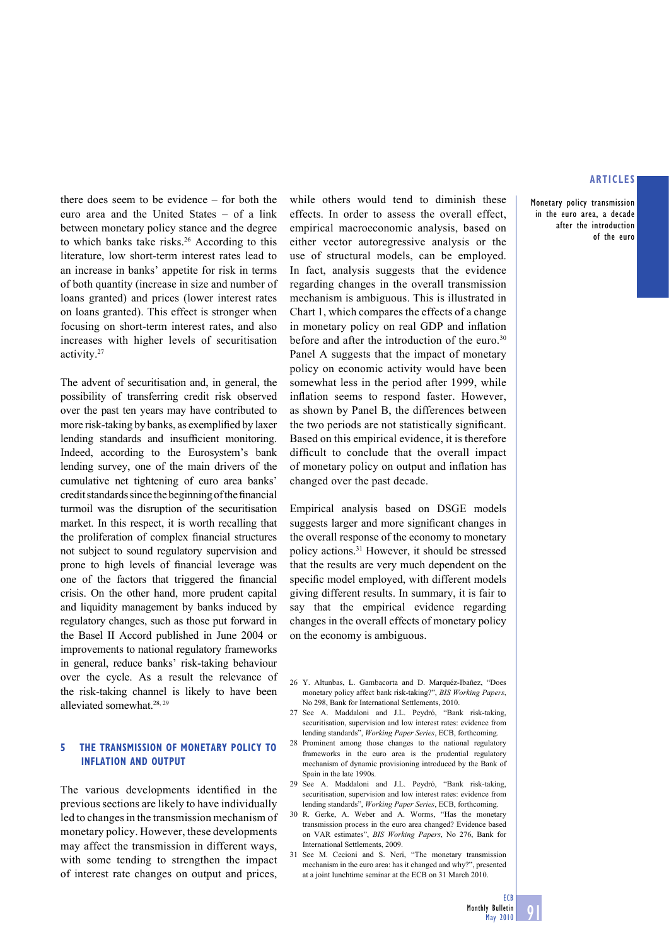**Monetary policy transmission in the euro area, a decade after the introduction of the euro**

there does seem to be evidence – for both the euro area and the United States – of a link between monetary policy stance and the degree to which banks take risks.26 According to this literature, low short-term interest rates lead to an increase in banks' appetite for risk in terms of both quantity (increase in size and number of loans granted) and prices (lower interest rates on loans granted). This effect is stronger when focusing on short-term interest rates, and also increases with higher levels of securitisation activity.27

The advent of securitisation and, in general, the possibility of transferring credit risk observed over the past ten years may have contributed to more risk-taking by banks, as exemplified by laxer lending standards and insufficient monitoring. Indeed, according to the Eurosystem's bank lending survey, one of the main drivers of the cumulative net tightening of euro area banks' credit standards since the beginning of the financial turmoil was the disruption of the securitisation market. In this respect, it is worth recalling that the proliferation of complex financial structures not subject to sound regulatory supervision and prone to high levels of financial leverage was one of the factors that triggered the financial crisis. On the other hand, more prudent capital and liquidity management by banks induced by regulatory changes, such as those put forward in the Basel II Accord published in June 2004 or improvements to national regulatory frameworks in general, reduce banks' risk-taking behaviour over the cycle. As a result the relevance of the risk-taking channel is likely to have been alleviated somewhat.28, 29

# **5 THE TRANSMISSION OF MONETARY POLICY TO INFLATION AND OUTPUT**

The various developments identified in the previous sections are likely to have individually led to changes in the transmission mechanism of monetary policy. However, these developments may affect the transmission in different ways, with some tending to strengthen the impact of interest rate changes on output and prices,

while others would tend to diminish these effects. In order to assess the overall effect, empirical macroeconomic analysis, based on either vector autoregressive analysis or the use of structural models, can be employed. In fact, analysis suggests that the evidence regarding changes in the overall transmission mechanism is ambiguous. This is illustrated in Chart 1, which compares the effects of a change in monetary policy on real GDP and inflation before and after the introduction of the euro. $30$ Panel A suggests that the impact of monetary policy on economic activity would have been somewhat less in the period after 1999, while inflation seems to respond faster. However, as shown by Panel B, the differences between the two periods are not statistically significant. Based on this empirical evidence, it is therefore difficult to conclude that the overall impact of monetary policy on output and inflation has changed over the past decade.

Empirical analysis based on DSGE models suggests larger and more significant changes in the overall response of the economy to monetary policy actions.31 However, it should be stressed that the results are very much dependent on the specific model employed, with different models giving different results. In summary, it is fair to say that the empirical evidence regarding changes in the overall effects of monetary policy on the economy is ambiguous.

- 26 Y. Altunbas, L. Gambacorta and D. Marquéz-Ibañez, "Does monetary policy affect bank risk-taking?", *BIS Working Papers*, No 298, Bank for International Settlements, 2010.
- 27 See A. Maddaloni and J.L. Peydró, "Bank risk-taking, securitisation, supervision and low interest rates: evidence from lending standards", *Working Paper Series*, ECB, forthcoming.
- 28 Prominent among those changes to the national regulatory frameworks in the euro area is the prudential regulatory mechanism of dynamic provisioning introduced by the Bank of Spain in the late 1990s.
- 29 See A. Maddaloni and J.L. Peydró, "Bank risk-taking, securitisation, supervision and low interest rates: evidence from lending standards", *Working Paper Series*, ECB, forthcoming.
- 30 R. Gerke, A. Weber and A. Worms, "Has the monetary transmission process in the euro area changed? Evidence based on VAR estimates", *BIS Working Papers*, No 276, Bank for International Settlements, 2009.
- 31 See M. Cecioni and S. Neri, "The monetary transmission mechanism in the euro area: has it changed and why?", presented at a joint lunchtime seminar at the ECB on 31 March 2010.

**91**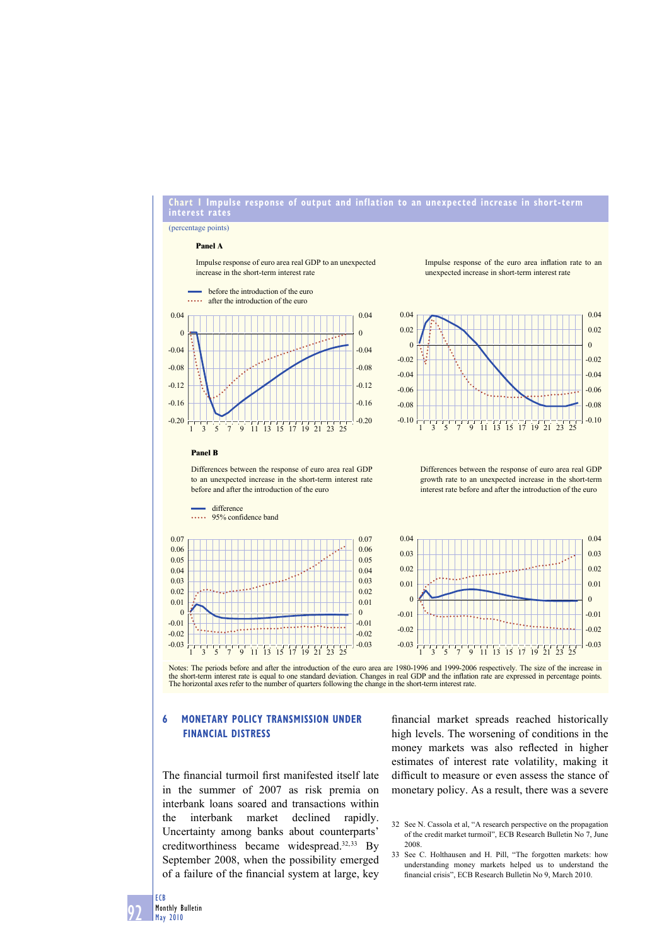## **Chart 1 Impulse response of output and inflation to an unexpected increase in short-term interest rates**

0.04 0.02  $\theta$ -0.02 -0.04 -0.06 -0.08 -0.10

#### (percentage points)

#### **Panel A**

Impulse response of euro area real GDP to an unexpected increase in the short-term interest rate

Impulse response of the euro area inflation rate to an unexpected increase in short-term interest rate

> 0.04 0.02 0 -0.02 -0.04 -0.06 -0.08  $-0.10$



before the introduction of the euro

#### **Panel B**

Differences between the response of euro area real GDP to an unexpected increase in the short-term interest rate before and after the introduction of the euro





Differences between the response of euro area real GDP growth rate to an unexpected increase in the short-term interest rate before and after the introduction of the euro

1 3 5 7 9 11 13 15 17 19 21 23 25



Notes: The periods before and after the introduction of the euro area are 1980-1996 and 1999-2006 respectively. The size of the increase in the short-term interest rate is equal to one standard deviation. Changes in real GDP and the inflation rate are expressed in percentage points.<br>The horizontal axes refer to the number of quarters following the change in th

# **6 MONETARY POLICY TRANSMISSION UNDER FINANCIAL DISTRESS**

The financial turmoil first manifested itself late in the summer of 2007 as risk premia on interbank loans soared and transactions within the interbank market declined rapidly. Uncertainty among banks about counterparts' creditworthiness became widespread.<sup>32,33</sup> By September 2008, when the possibility emerged of a failure of the financial system at large, key

financial market spreads reached historically high levels. The worsening of conditions in the money markets was also reflected in higher estimates of interest rate volatility, making it difficult to measure or even assess the stance of monetary policy. As a result, there was a severe

- 32 See N. Cassola et al, "A research perspective on the propagation of the credit market turmoil", ECB Research Bulletin No 7, June 2008.
- 33 See C. Holthausen and H. Pill, "The forgotten markets: how understanding money markets helped us to understand the financial crisis". ECB Research Bulletin No 9, March 2010.

**92**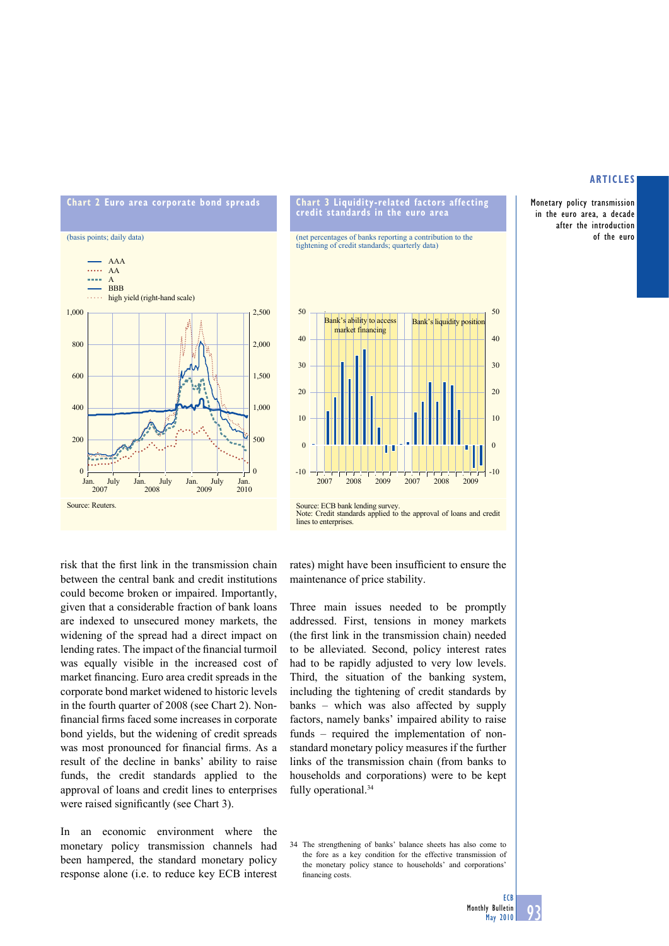Monetary policy transmission in the euro area, a decade after the introduction of the euro



#### **Chart 3 Liquidity-related factors affecting credit standards in the euro area**

(net percentages of banks reporting a contribution to the tightening of credit standards; quarterly data)



risk that the first link in the transmission chain between the central bank and credit institutions could become broken or impaired. Importantly, given that a considerable fraction of bank loans are indexed to unsecured money markets, the widening of the spread had a direct impact on lending rates. The impact of the financial turmoil was equally visible in the increased cost of market financing. Euro area credit spreads in the corporate bond market widened to historic levels in the fourth quarter of 2008 (see Chart 2). Nonfinancial firms faced some increases in corporate bond yields, but the widening of credit spreads was most pronounced for financial firms. As a result of the decline in banks' ability to raise funds, the credit standards applied to the approval of loans and credit lines to enterprises were raised significantly (see Chart 3).

In an economic environment where the monetary policy transmission channels had been hampered, the standard monetary policy response alone (i.e. to reduce key ECB interest rates) might have been insufficient to ensure the maintenance of price stability.

Three main issues needed to be promptly addressed. First, tensions in money markets (the first link in the transmission chain) needed to be alleviated. Second, policy interest rates had to be rapidly adjusted to very low levels. Third, the situation of the banking system, including the tightening of credit standards by banks – which was also affected by supply factors, namely banks' impaired ability to raise funds – required the implementation of nonstandard monetary policy measures if the further links of the transmission chain (from banks to households and corporations) were to be kept fully operational.<sup>34</sup>

34 The strengthening of banks' balance sheets has also come to the fore as a key condition for the effective transmission of the monetary policy stance to households' and corporations' financing costs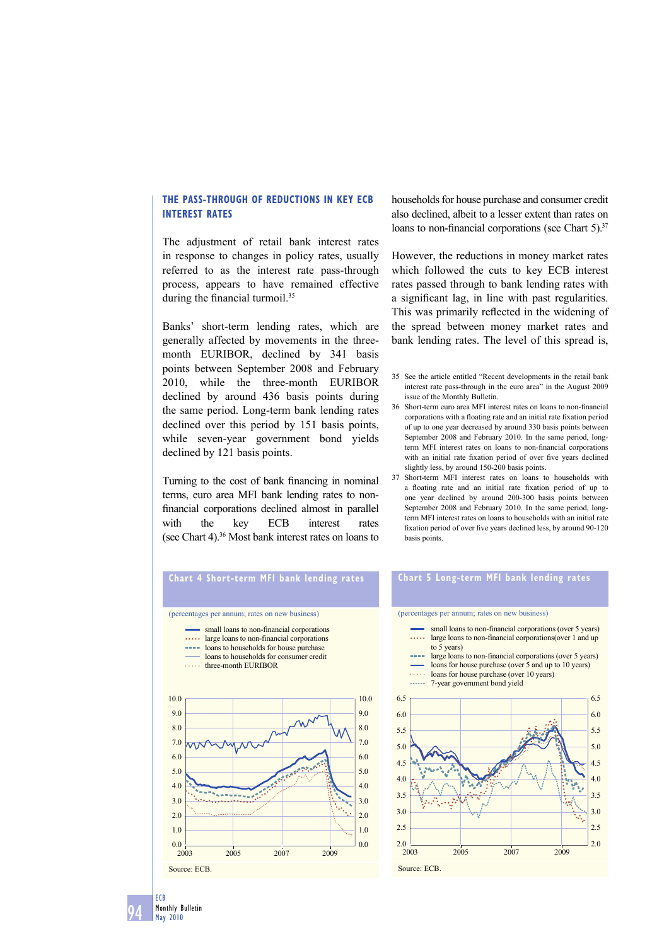## **THE PASS-THROUGH OF REDUCTIONS IN KEY ECB INTEREST RATES**

The adjustment of retail bank interest rates in response to changes in policy rates, usually referred to as the interest rate pass-through process, appears to have remained effective during the financial turmoil. $35$ 

Banks' short-term lending rates, which are generally affected by movements in the threemonth EURIBOR, declined by 341 basis points between September 2008 and February 2010, while the three-month EURIBOR declined by around 436 basis points during the same period. Long-term bank lending rates declined over this period by 151 basis points, while seven-year government bond yields declined by 121 basis points.

Turning to the cost of bank financing in nominal terms, euro area MFI bank lending rates to nonfinancial corporations declined almost in parallel with the key ECB interest rates (see Chart 4).36 Most bank interest rates on loans to

households for house purchase and consumer credit also declined, albeit to a lesser extent than rates on loans to non-financial corporations (see Chart  $5$ ).<sup>37</sup>

However, the reductions in money market rates which followed the cuts to key ECB interest rates passed through to bank lending rates with a significant lag, in line with past regularities. This was primarily reflected in the widening of the spread between money market rates and bank lending rates. The level of this spread is,

- 35 See the article entitled "Recent developments in the retail bank interest rate pass-through in the euro area" in the August 2009 issue of the Monthly Bulletin.
- 36 Short-term euro area MFI interest rates on loans to non-financial corporations with a floating rate and an initial rate fixation period of up to one year decreased by around 330 basis points between September 2008 and February 2010. In the same period, longterm MFI interest rates on loans to non-financial corporations with an initial rate fixation period of over five years declined slightly less, by around 150-200 basis points.
- 37 Short-term MFI interest rates on loans to households with a floating rate and an initial rate fixation period of up to one year declined by around 200-300 basis points between September 2008 and February 2010. In the same period, longterm MFI interest rates on loans to households with an initial rate fixation period of over five years declined less, by around 90-120 basis points.

# **Chart 4 Short-term MFI bank lending rates**

#### (percentages per annum; rates on new business)

- small loans to non-financial corporations
- . . . . . large loans to non-financial corporations
- **Loans to households for house purchase**
- loans to households for consumer credit

**three-month EURIBOR** 



## **Chart 5 Long-term MFI bank lending rates**

- small loans to non-financial corporations (over 5 years) large loans to non-financial corporations(over 1 and up to 5 years) large loans to non-financial corporations (over 5 years)
- loans for house purchase (over 5 and up to 10 years)
- loans for house purchase (over 10 years) *<u><u>......</u>*</u> 7-year government bond yield

(percentages per annum; rates on new business)

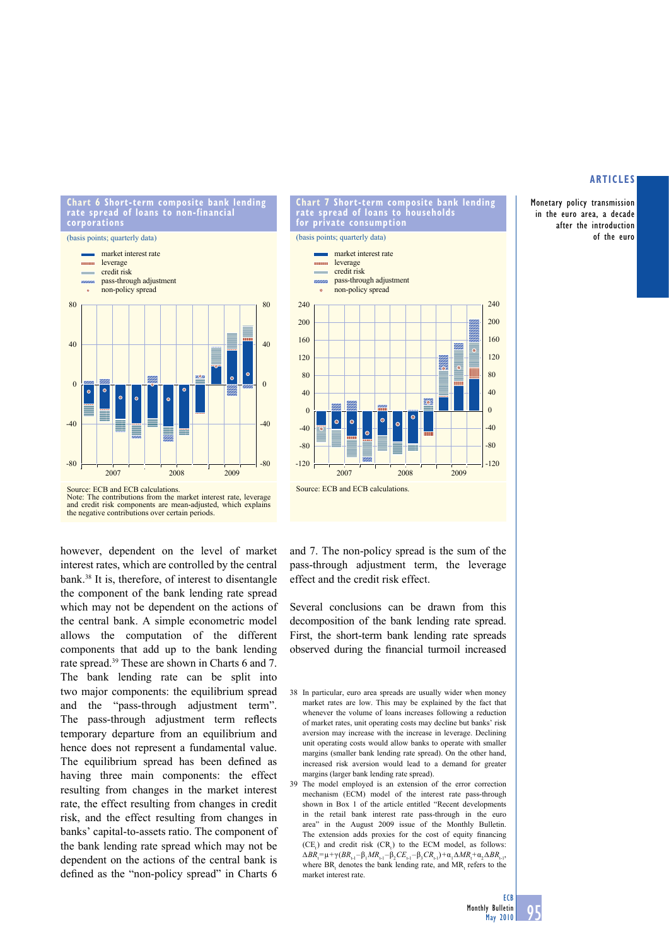Monetary policy transmission in the euro area, a decade after the introduction of the euro





however, dependent on the level of market interest rates, which are controlled by the central bank.38 It is, therefore, of interest to disentangle the component of the bank lending rate spread which may not be dependent on the actions of the central bank. A simple econometric model allows the computation of the different components that add up to the bank lending rate spread.39 These are shown in Charts 6 and 7. The bank lending rate can be split into two major components: the equilibrium spread and the "pass-through adjustment term". The pass-through adjustment term reflects temporary departure from an equilibrium and hence does not represent a fundamental value. The equilibrium spread has been defined as having three main components: the effect resulting from changes in the market interest rate, the effect resulting from changes in credit risk, and the effect resulting from changes in banks' capital-to-assets ratio. The component of the bank lending rate spread which may not be dependent on the actions of the central bank is defined as the "non-policy spread" in Charts 6



**Chart 7 Short-term composite bank lending** 

and 7. The non-policy spread is the sum of the pass-through adjustment term, the leverage effect and the credit risk effect.

Several conclusions can be drawn from this decomposition of the bank lending rate spread. First, the short-term bank lending rate spreads observed during the financial turmoil increased

- 38 In particular, euro area spreads are usually wider when money market rates are low. This may be explained by the fact that whenever the volume of loans increases following a reduction of market rates, unit operating costs may decline but banks' risk aversion may increase with the increase in leverage. Declining unit operating costs would allow banks to operate with smaller margins (smaller bank lending rate spread). On the other hand, increased risk aversion would lead to a demand for greater margins (larger bank lending rate spread).
- 39 The model employed is an extension of the error correction mechanism (ECM) model of the interest rate pass-through shown in Box 1 of the article entitled "Recent developments in the retail bank interest rate pass-through in the euro area" in the August 2009 issue of the Monthly Bulletin. The extension adds proxies for the cost of equity financing  $(CE)$  and credit risk  $(CR)$  to the ECM model, as follows:  $\Delta BR_{t} = \mu + \gamma (BR_{t-1} - \beta_1 MR_{t-1} - \beta_2 CE_{t-1} - \beta_3 CR_{t-1}) + \alpha_1 \Delta MR_t + \alpha_2 \Delta BR_{t-1}$ where  $BR_t$  denotes the bank lending rate, and  $MR_t$  refers to the market interest rate.

**ECB**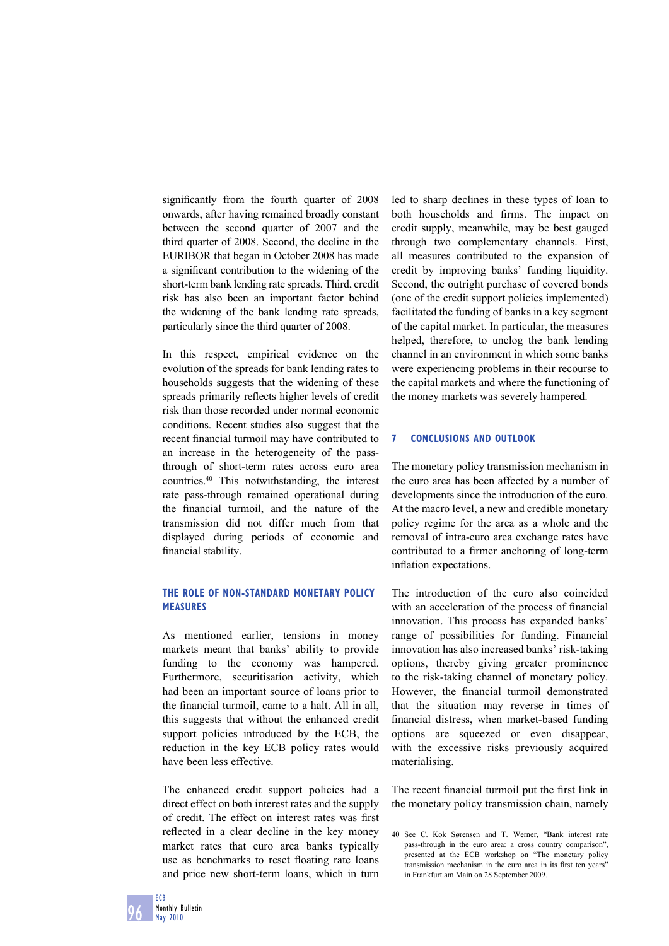significantly from the fourth quarter of 2008 onwards, after having remained broadly constant between the second quarter of 2007 and the third quarter of 2008. Second, the decline in the EURIBOR that began in October 2008 has made a significant contribution to the widening of the short-term bank lending rate spreads. Third, credit risk has also been an important factor behind the widening of the bank lending rate spreads, particularly since the third quarter of 2008.

In this respect, empirical evidence on the evolution of the spreads for bank lending rates to households suggests that the widening of these spreads primarily reflects higher levels of credit risk than those recorded under normal economic conditions. Recent studies also suggest that the recent financial turmoil may have contributed to an increase in the heterogeneity of the passthrough of short-term rates across euro area countries.40 This notwithstanding, the interest rate pass-through remained operational during the financial turmoil, and the nature of the transmission did not differ much from that displayed during periods of economic and financial stability.

## **THE ROLE OF NON-STANDARD MONETARY POLICY MEASURES**

As mentioned earlier, tensions in money markets meant that banks' ability to provide funding to the economy was hampered. Furthermore, securitisation activity, which had been an important source of loans prior to the financial turmoil, came to a halt. All in all, this suggests that without the enhanced credit support policies introduced by the ECB, the reduction in the key ECB policy rates would have been less effective.

The enhanced credit support policies had a direct effect on both interest rates and the supply of credit. The effect on interest rates was first reflected in a clear decline in the key money market rates that euro area banks typically use as benchmarks to reset floating rate loans and price new short-term loans, which in turn

led to sharp declines in these types of loan to both households and firms. The impact on credit supply, meanwhile, may be best gauged through two complementary channels. First, all measures contributed to the expansion of credit by improving banks' funding liquidity. Second, the outright purchase of covered bonds (one of the credit support policies implemented) facilitated the funding of banks in a key segment of the capital market. In particular, the measures helped, therefore, to unclog the bank lending channel in an environment in which some banks were experiencing problems in their recourse to the capital markets and where the functioning of the money markets was severely hampered.

## **7 CONCLUSIONS AND OUTLOOK**

The monetary policy transmission mechanism in the euro area has been affected by a number of developments since the introduction of the euro. At the macro level, a new and credible monetary policy regime for the area as a whole and the removal of intra-euro area exchange rates have contributed to a firmer anchoring of long-term inflation expectations.

The introduction of the euro also coincided with an acceleration of the process of financial innovation. This process has expanded banks' range of possibilities for funding. Financial innovation has also increased banks' risk-taking options, thereby giving greater prominence to the risk-taking channel of monetary policy. However, the financial turmoil demonstrated that the situation may reverse in times of financial distress, when market-based funding options are squeezed or even disappear, with the excessive risks previously acquired materialising.

The recent financial turmoil put the first link in the monetary policy transmission chain, namely

<sup>40</sup> See C. Kok Sørensen and T. Werner, "Bank interest rate pass-through in the euro area: a cross country comparison", presented at the ECB workshop on "The monetary policy transmission mechanism in the euro area in its first ten years" in Frankfurt am Main on 28 September 2009.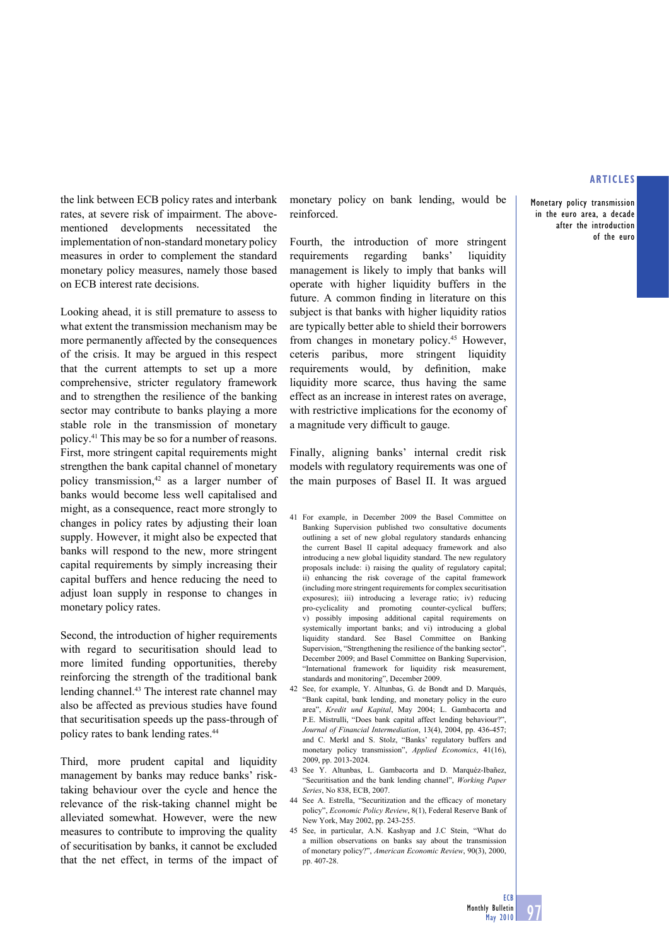**Monetary policy transmission in the euro area, a decade after the introduction of the euro**

the link between ECB policy rates and interbank rates, at severe risk of impairment. The abovementioned developments necessitated the implementation of non-standard monetary policy measures in order to complement the standard monetary policy measures, namely those based on ECB interest rate decisions.

Looking ahead, it is still premature to assess to what extent the transmission mechanism may be more permanently affected by the consequences of the crisis. It may be argued in this respect that the current attempts to set up a more comprehensive, stricter regulatory framework and to strengthen the resilience of the banking sector may contribute to banks playing a more stable role in the transmission of monetary policy.41 This may be so for a number of reasons. First, more stringent capital requirements might strengthen the bank capital channel of monetary policy transmission,<sup>42</sup> as a larger number of banks would become less well capitalised and might, as a consequence, react more strongly to changes in policy rates by adjusting their loan supply. However, it might also be expected that banks will respond to the new, more stringent capital requirements by simply increasing their capital buffers and hence reducing the need to adjust loan supply in response to changes in monetary policy rates.

Second, the introduction of higher requirements with regard to securitisation should lead to more limited funding opportunities, thereby reinforcing the strength of the traditional bank lending channel.43 The interest rate channel may also be affected as previous studies have found that securitisation speeds up the pass-through of policy rates to bank lending rates.44

Third, more prudent capital and liquidity management by banks may reduce banks' risktaking behaviour over the cycle and hence the relevance of the risk-taking channel might be alleviated somewhat. However, were the new measures to contribute to improving the quality of securitisation by banks, it cannot be excluded that the net effect, in terms of the impact of monetary policy on bank lending, would be reinforced.

Fourth, the introduction of more stringent requirements regarding banks' liquidity management is likely to imply that banks will operate with higher liquidity buffers in the future. A common finding in literature on this subject is that banks with higher liquidity ratios are typically better able to shield their borrowers from changes in monetary policy.45 However, ceteris paribus, more stringent liquidity requirements would, by definition, make liquidity more scarce, thus having the same effect as an increase in interest rates on average, with restrictive implications for the economy of a magnitude very difficult to gauge.

Finally, aligning banks' internal credit risk models with regulatory requirements was one of the main purposes of Basel II. It was argued

- 41 For example, in December 2009 the Basel Committee on Banking Supervision published two consultative documents outlining a set of new global regulatory standards enhancing the current Basel II capital adequacy framework and also introducing a new global liquidity standard. The new regulatory proposals include: i) raising the quality of regulatory capital; ii) enhancing the risk coverage of the capital framework (including more stringent requirements for complex securitisation exposures); iii) introducing a leverage ratio; iv) reducing pro-cyclicality and promoting counter-cyclical buffers; v) possibly imposing additional capital requirements on systemically important banks; and vi) introducing a global liquidity standard. See Basel Committee on Banking Supervision, "Strengthening the resilience of the banking sector" December 2009; and Basel Committee on Banking Supervision, "International framework for liquidity risk measurement, standards and monitoring", December 2009.
- 42 See, for example, Y. Altunbas, G. de Bondt and D. Marqués, "Bank capital, bank lending, and monetary policy in the euro area", *Kredit und Kapital*, May 2004; L. Gambacorta and P.E. Mistrulli, "Does bank capital affect lending behaviour?", *Journal of Financial Intermediation*, 13(4), 2004, pp. 436-457; and C. Merkl and S. Stolz, "Banks' regulatory buffers and monetary policy transmission", *Applied Economics*, 41(16), 2009, pp. 2013-2024.
- 43 See Y. Altunbas, L. Gambacorta and D. Marquéz-Ibañez, "Securitisation and the bank lending channel", *Working Paper Series*, No 838, ECB, 2007.
- 44 See A. Estrella, "Securitization and the efficacy of monetary policy", *Economic Policy Review*, 8(1), Federal Reserve Bank of New York, May 2002, pp. 243-255.
- 45 See, in particular, A.N. Kashyap and J.C Stein, "What do a million observations on banks say about the transmission of monetary policy?", *American Economic Review*, 90(3), 2000, pp. 407-28.